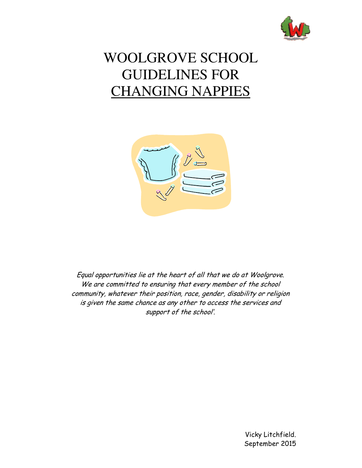

# WOOLGROVE SCHOOL GUIDELINES FOR CHANGING NAPPIES



Equal opportunities lie at the heart of all that we do at Woolgrove. We are committed to ensuring that every member of the school community, whatever their position, race, gender, disability or religion is given the same chance as any other to access the services and support of the school'.

> Vicky Litchfield. September 2015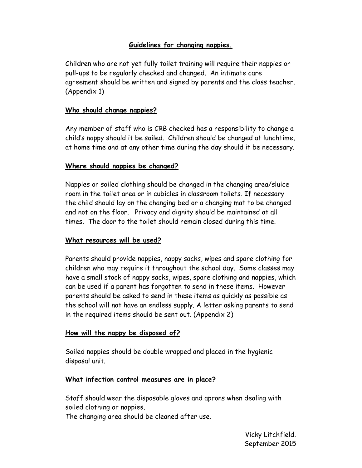# **Guidelines for changing nappies.**

Children who are not yet fully toilet training will require their nappies or pull-ups to be regularly checked and changed. An intimate care agreement should be written and signed by parents and the class teacher. (Appendix 1)

## **Who should change nappies?**

Any member of staff who is CRB checked has a responsibility to change a child's nappy should it be soiled. Children should be changed at lunchtime, at home time and at any other time during the day should it be necessary.

## **Where should nappies be changed?**

Nappies or soiled clothing should be changed in the changing area/sluice room in the toilet area or in cubicles in classroom toilets. If necessary the child should lay on the changing bed or a changing mat to be changed and not on the floor. Privacy and dignity should be maintained at all times. The door to the toilet should remain closed during this time.

#### **What resources will be used?**

Parents should provide nappies, nappy sacks, wipes and spare clothing for children who may require it throughout the school day. Some classes may have a small stock of nappy sacks, wipes, spare clothing and nappies, which can be used if a parent has forgotten to send in these items. However parents should be asked to send in these items as quickly as possible as the school will not have an endless supply. A letter asking parents to send in the required items should be sent out. (Appendix 2)

#### **How will the nappy be disposed of?**

Soiled nappies should be double wrapped and placed in the hygienic disposal unit.

## **What infection control measures are in place?**

Staff should wear the disposable gloves and aprons when dealing with soiled clothing or nappies.

The changing area should be cleaned after use.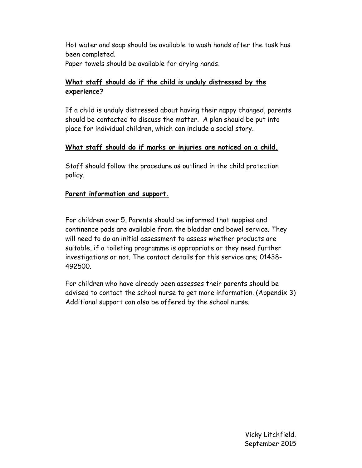Hot water and soap should be available to wash hands after the task has been completed. Paper towels should be available for drying hands.

# **What staff should do if the child is unduly distressed by the experience?**

If a child is unduly distressed about having their nappy changed, parents should be contacted to discuss the matter. A plan should be put into place for individual children, which can include a social story.

#### **What staff should do if marks or injuries are noticed on a child.**

Staff should follow the procedure as outlined in the child protection policy.

#### **Parent information and support.**

For children over 5, Parents should be informed that nappies and continence pads are available from the bladder and bowel service. They will need to do an initial assessment to assess whether products are suitable, if a toileting programme is appropriate or they need further investigations or not. The contact details for this service are; 01438- 492500.

For children who have already been assesses their parents should be advised to contact the school nurse to get more information. (Appendix 3) Additional support can also be offered by the school nurse.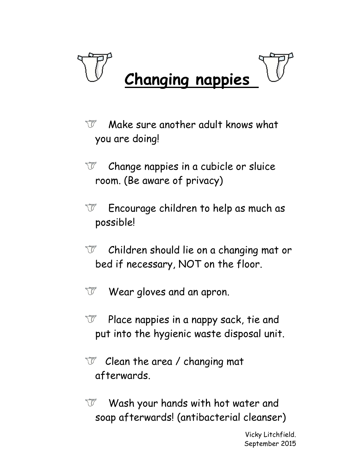

- Make sure another adult knows what TP you are doing!
- Change nappies in a cubicle or sluice TP room. (Be aware of privacy)
- W Encourage children to help as much as possible!
- Children should lie on a changing mat or `U bed if necessary, NOT on the floor.
- Wear gloves and an apron. TP
- Place nappies in a nappy sack, tie and TP put into the hygienic waste disposal unit.
- Clean the area / changing mat TP" afterwards.
- Wash your hands with hot water and W soap afterwards! (antibacterial cleanser)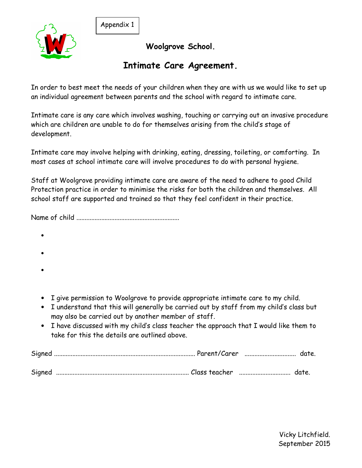Appendix 1



**Woolgrove School.** 

# **Intimate Care Agreement.**

In order to best meet the needs of your children when they are with us we would like to set up an individual agreement between parents and the school with regard to intimate care.

Intimate care is any care which involves washing, touching or carrying out an invasive procedure which are children are unable to do for themselves arising from the child's stage of development.

Intimate care may involve helping with drinking, eating, dressing, toileting, or comforting. In most cases at school intimate care will involve procedures to do with personal hygiene.

Staff at Woolgrove providing intimate care are aware of the need to adhere to good Child Protection practice in order to minimise the risks for both the children and themselves. All school staff are supported and trained so that they feel confident in their practice.

Name of child ..............................................................

- •
- •
- •
- I give permission to Woolgrove to provide appropriate intimate care to my child.
- I understand that this will generally be carried out by staff from my child's class but may also be carried out by another member of staff.
- I have discussed with my child's class teacher the approach that I would like them to take for this the details are outlined above.

| Signed |  |  |
|--------|--|--|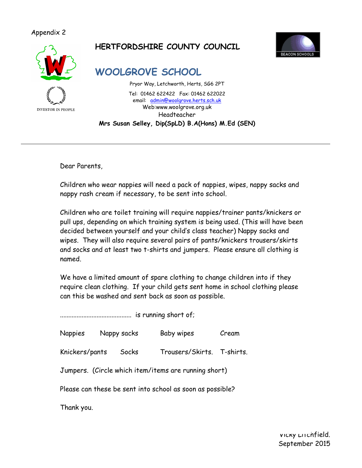#### Appendix 2



# **HERTFORDSHIRE COUNTY COUNCIL**



**WOOLGROVE SCHOOL** 

Pryor Way, Letchworth, Herts, SG6 2PT Tel: 01462 622422 Fax: 01462 622022 email: admin@woolgrove.herts.sch.uk Web:www.woolgrove.org.uk Headteacher **Mrs Susan Selley, Dip(SpLD) B.A(Hons) M.Ed (SEN)** 

Dear Parents,

Children who wear nappies will need a pack of nappies, wipes, nappy sacks and nappy rash cream if necessary, to be sent into school.

Children who are toilet training will require nappies/trainer pants/knickers or pull ups, depending on which training system is being used. (This will have been decided between yourself and your child's class teacher) Nappy sacks and wipes. They will also require several pairs of pants/knickers trousers/skirts and socks and at least two t-shirts and jumpers. Please ensure all clothing is named.

We have a limited amount of spare clothing to change children into if they require clean clothing. If your child gets sent home in school clothing please can this be washed and sent back as soon as possible.

........................................... is running short of;

Nappies Nappy sacks Baby wipes Cream

Knickers/pants Socks Trousers/Skirts. T-shirts.

Jumpers. (Circle which item/items are running short)

Please can these be sent into school as soon as possible?

Thank you.

Vicky Litchfield. September 2015